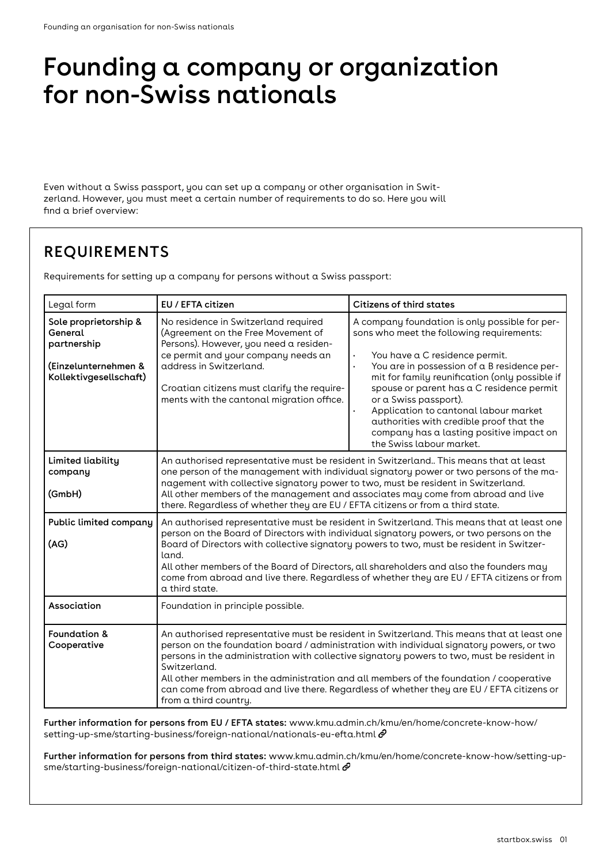# Founding a company or organization for non-Swiss nationals

Even without a Swiss passport, you can set up a company or other organisation in Switzerland. However, you must meet a certain number of requirements to do so. Here you will find a brief overview:

# **REQUIREMENTS**

Requirements for setting up a company for persons without a Swiss passport:

| Legal form                                                                                        | EU / EFTA citizen                                                                                                                                                                                                                                                                                                                                                                                                                                                                                                     | <b>Citizens of third states</b>                                                                                                                                                                                                                                                                                                                                                                                                                                                |
|---------------------------------------------------------------------------------------------------|-----------------------------------------------------------------------------------------------------------------------------------------------------------------------------------------------------------------------------------------------------------------------------------------------------------------------------------------------------------------------------------------------------------------------------------------------------------------------------------------------------------------------|--------------------------------------------------------------------------------------------------------------------------------------------------------------------------------------------------------------------------------------------------------------------------------------------------------------------------------------------------------------------------------------------------------------------------------------------------------------------------------|
| Sole proprietorship &<br>General<br>partnership<br>(Einzelunternehmen &<br>Kollektivgesellschaft) | No residence in Switzerland required<br>(Agreement on the Free Movement of<br>Persons). However, you need a residen-<br>ce permit and your company needs an<br>address in Switzerland.<br>Croatian citizens must clarify the require-<br>ments with the cantonal migration office.                                                                                                                                                                                                                                    | A company foundation is only possible for per-<br>sons who meet the following requirements:<br>You have a C residence permit.<br>$\bullet$<br>You are in possession of a B residence per-<br>mit for family reunification (only possible if<br>spouse or parent has a C residence permit<br>or a Swiss passport).<br>Application to cantonal labour market<br>authorities with credible proof that the<br>company has a lasting positive impact on<br>the Swiss labour market. |
| <b>Limited liability</b><br>company<br>(GmbH)                                                     | An authorised representative must be resident in Switzerland This means that at least<br>one person of the management with individual signatory power or two persons of the ma-<br>nagement with collective signatory power to two, must be resident in Switzerland.<br>All other members of the management and associates may come from abroad and live<br>there. Regardless of whether they are EU / EFTA citizens or from a third state.                                                                           |                                                                                                                                                                                                                                                                                                                                                                                                                                                                                |
| Public limited company<br>(AG)                                                                    | An authorised representative must be resident in Switzerland. This means that at least one<br>person on the Board of Directors with individual signatory powers, or two persons on the<br>Board of Directors with collective signatory powers to two, must be resident in Switzer-<br>land.<br>All other members of the Board of Directors, all shareholders and also the founders may<br>come from abroad and live there. Regardless of whether they are EU / EFTA citizens or from<br>a third state.                |                                                                                                                                                                                                                                                                                                                                                                                                                                                                                |
| Association                                                                                       | Foundation in principle possible.                                                                                                                                                                                                                                                                                                                                                                                                                                                                                     |                                                                                                                                                                                                                                                                                                                                                                                                                                                                                |
| <b>Foundation &amp;</b><br>Cooperative                                                            | An authorised representative must be resident in Switzerland. This means that at least one<br>person on the foundation board / administration with individual signatory powers, or two<br>persons in the administration with collective signatory powers to two, must be resident in<br>Switzerland.<br>All other members in the administration and all members of the foundation / cooperative<br>can come from abroad and live there. Regardless of whether they are EU / EFTA citizens or<br>from a third country. |                                                                                                                                                                                                                                                                                                                                                                                                                                                                                |

Further information for persons from EU / EFTA states: [www.kmu.admin.ch/kmu/en/home/concrete-know-how/](https://www.kmu.admin.ch/kmu/en/home/concrete-know-how/setting-up-sme/starting-business/foreign-national/nationals-eu-efta.html) [setting-up-sme/starting-business/foreign-national/nationals-eu-efta.html](https://www.kmu.admin.ch/kmu/en/home/concrete-know-how/setting-up-sme/starting-business/foreign-national/nationals-eu-efta.html)  $\mathscr O$ 

Further information for persons from third states: [www.kmu.admin.ch/kmu/en/home/concrete-know-how/setting-up](https://www.kmu.admin.ch/kmu/en/home/concrete-know-how/setting-up-sme/starting-business/foreign-national/citizen-of-third-state.html)[sme/starting-business/foreign-national/citizen-of-third-state.html](https://www.kmu.admin.ch/kmu/en/home/concrete-know-how/setting-up-sme/starting-business/foreign-national/citizen-of-third-state.html)  $\mathcal O$